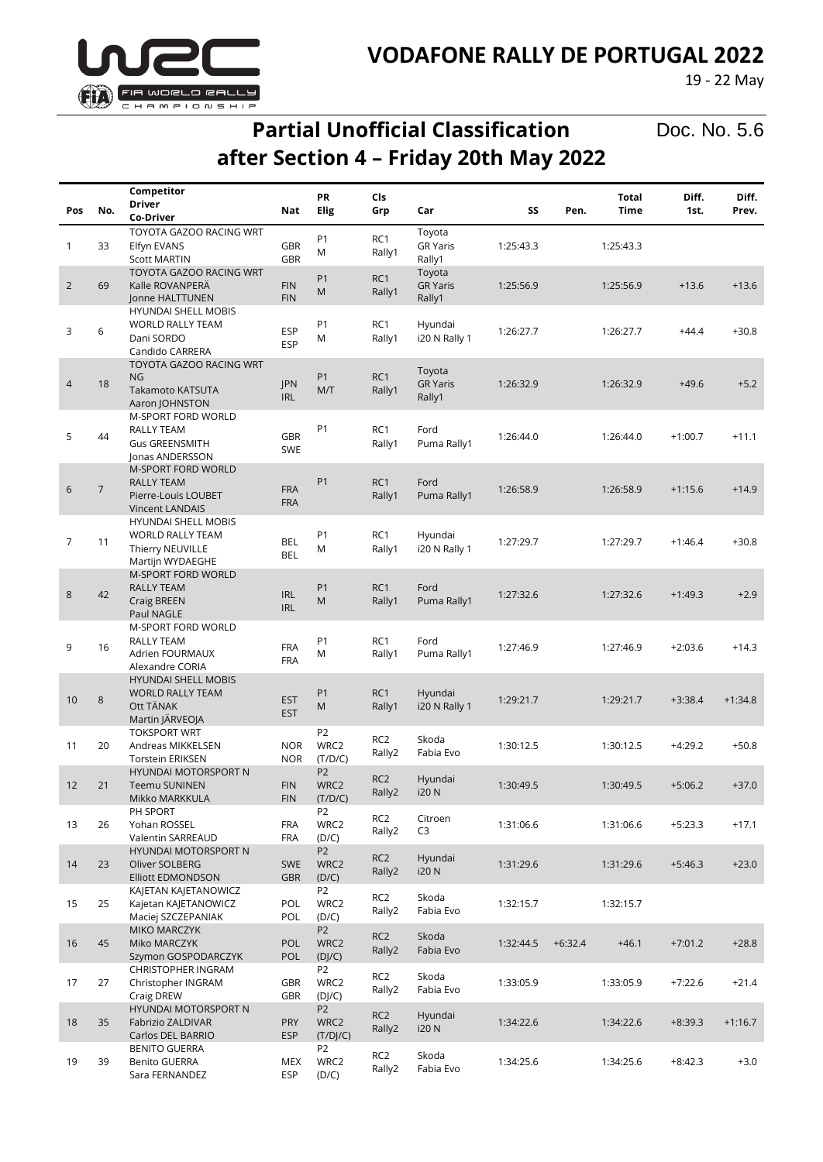

#### **VODAFONE RALLY DE PORTUGAL 2022**

19 - 22 May

# **Partial Unofficial Classification after Section 4 – Friday 20th May 2022**

Doc. No. 5.6

| Pos | No.            | Competitor<br>Driver                                                                            | Nat                      | PR<br>Elig                         | Cls<br>Grp                | Car                                 | SS        | Pen.      | <b>Total</b><br>Time | Diff.<br>1st. | Diff.<br>Prev. |
|-----|----------------|-------------------------------------------------------------------------------------------------|--------------------------|------------------------------------|---------------------------|-------------------------------------|-----------|-----------|----------------------|---------------|----------------|
|     |                | Co-Driver                                                                                       |                          |                                    |                           |                                     |           |           |                      |               |                |
| 1   | 33             | TOYOTA GAZOO RACING WRT<br>Elfyn EVANS<br><b>Scott MARTIN</b>                                   | <b>GBR</b><br><b>GBR</b> | P1<br>M                            | RC1<br>Rally1             | Toyota<br><b>GR Yaris</b><br>Rally1 | 1:25:43.3 |           | 1:25:43.3            |               |                |
| 2   | 69             | TOYOTA GAZOO RACING WRT<br>Kalle ROVANPERA<br>Jonne HALTTUNEN                                   | <b>FIN</b><br><b>FIN</b> | P <sub>1</sub><br>M                | RC1<br>Rally1             | Toyota<br><b>GR Yaris</b><br>Rally1 | 1:25:56.9 |           | 1:25:56.9            | $+13.6$       | $+13.6$        |
| 3   | 6              | <b>HYUNDAI SHELL MOBIS</b><br><b>WORLD RALLY TEAM</b><br>Dani SORDO<br>Candido CARRERA          | <b>ESP</b><br><b>ESP</b> | P1<br>M                            | RC1<br>Rally1             | Hyundai<br>i20 N Rally 1            | 1:26:27.7 |           | 1:26:27.7            | $+44.4$       | $+30.8$        |
| 4   | 18             | TOYOTA GAZOO RACING WRT<br><b>NG</b><br>Takamoto KATSUTA<br>Aaron JOHNSTON                      | <b>JPN</b><br><b>IRL</b> | P <sub>1</sub><br>M/T              | RC1<br>Rally1             | Toyota<br><b>GR Yaris</b><br>Rally1 | 1:26:32.9 |           | 1:26:32.9            | $+49.6$       | $+5.2$         |
| 5   | 44             | M-SPORT FORD WORLD<br>RALLY TEAM<br><b>Gus GREENSMITH</b><br>Jonas ANDERSSON                    | <b>GBR</b><br><b>SWE</b> | P1                                 | RC1<br>Rally1             | Ford<br>Puma Rally1                 | 1:26:44.0 |           | 1:26:44.0            | $+1:00.7$     | $+11.1$        |
| 6   | $\overline{7}$ | <b>M-SPORT FORD WORLD</b><br><b>RALLY TEAM</b><br>Pierre-Louis LOUBET<br><b>Vincent LANDAIS</b> | <b>FRA</b><br><b>FRA</b> | P1                                 | RC <sub>1</sub><br>Rally1 | Ford<br>Puma Rally1                 | 1:26:58.9 |           | 1:26:58.9            | $+1:15.6$     | $+14.9$        |
| 7   | 11             | <b>HYUNDAI SHELL MOBIS</b><br><b>WORLD RALLY TEAM</b><br>Thierry NEUVILLE<br>Martijn WYDAEGHE   | <b>BEL</b><br><b>BEL</b> | P1<br>M                            | RC1<br>Rally1             | Hyundai<br>i20 N Rally 1            | 1:27:29.7 |           | 1:27:29.7            | $+1:46.4$     | $+30.8$        |
| 8   | 42             | <b>M-SPORT FORD WORLD</b><br><b>RALLY TEAM</b><br>Craig BREEN<br>Paul NAGLE                     | <b>IRL</b><br><b>IRL</b> | P <sub>1</sub><br>M                | RC1<br>Rally1             | Ford<br>Puma Rally1                 | 1:27:32.6 |           | 1:27:32.6            | $+1:49.3$     | $+2.9$         |
| 9   | 16             | M-SPORT FORD WORLD<br>RALLY TEAM<br>Adrien FOURMAUX<br>Alexandre CORIA                          | <b>FRA</b><br><b>FRA</b> | P <sub>1</sub><br>M                | RC1<br>Rally1             | Ford<br>Puma Rally1                 | 1:27:46.9 |           | 1:27:46.9            | $+2:03.6$     | $+14.3$        |
| 10  | 8              | <b>HYUNDAI SHELL MOBIS</b><br><b>WORLD RALLY TEAM</b><br>Ott TÄNAK<br>Martin JÄRVEOJA           | <b>EST</b><br><b>EST</b> | P <sub>1</sub><br>M                | RC1<br>Rally1             | Hyundai<br>i20 N Rally 1            | 1:29:21.7 |           | 1:29:21.7            | $+3:38.4$     | $+1:34.8$      |
| 11  | 20             | <b>TOKSPORT WRT</b><br>Andreas MIKKELSEN<br><b>Torstein ERIKSEN</b>                             | <b>NOR</b><br><b>NOR</b> | P <sub>2</sub><br>WRC2<br>(T/D/C)  | RC <sub>2</sub><br>Rally2 | Skoda<br>Fabia Evo                  | 1:30:12.5 |           | 1:30:12.5            | $+4:29.2$     | $+50.8$        |
| 12  | 21             | <b>HYUNDAI MOTORSPORT N</b><br><b>Teemu SUNINEN</b><br>Mikko MARKKULA                           | <b>FIN</b><br><b>FIN</b> | P <sub>2</sub><br>WRC2<br>(T/D/C)  | RC <sub>2</sub><br>Rally2 | Hyundai<br><b>i20 N</b>             | 1:30:49.5 |           | 1:30:49.5            | $+5:06.2$     | $+37.0$        |
| 13  | 26             | PH SPORT<br>Yohan ROSSEL<br>Valentin SARREAUD                                                   | <b>FRA</b><br><b>FRA</b> | P2<br>WRC2<br>(D/C)                | RC <sub>2</sub><br>Rally2 | Citroen<br>C <sub>3</sub>           | 1:31:06.6 |           | 1:31:06.6            | $+5:23.3$     | $+17.1$        |
| 14  | 23             | HYUNDAI MOTORSPORT N<br>Oliver SOLBERG<br><b>Elliott EDMONDSON</b>                              | <b>SWE</b><br><b>GBR</b> | P <sub>2</sub><br>WRC2<br>(D/C)    | RC <sub>2</sub><br>Rally2 | Hyundai<br><b>i20N</b>              | 1:31:29.6 |           | 1:31:29.6            | $+5:46.3$     | $+23.0$        |
| 15  | 25             | KAJETAN KAJETANOWICZ<br>Kajetan KAJETANOWICZ<br>Maciej SZCZEPANIAK                              | POL<br>POL               | P <sub>2</sub><br>WRC2<br>(D/C)    | RC <sub>2</sub><br>Rally2 | Skoda<br>Fabia Evo                  | 1:32:15.7 |           | 1:32:15.7            |               |                |
| 16  | 45             | MIKO MARCZYK<br>Miko MARCZYK<br>Szymon GOSPODARCZYK                                             | POL<br>POL               | P <sub>2</sub><br>WRC2<br>(DJ/C)   | RC <sub>2</sub><br>Rally2 | Skoda<br>Fabia Evo                  | 1:32:44.5 | $+6:32.4$ | $+46.1$              | $+7:01.2$     | $+28.8$        |
| 17  | 27             | <b>CHRISTOPHER INGRAM</b><br>Christopher INGRAM<br>Craig DREW                                   | GBR<br><b>GBR</b>        | P <sub>2</sub><br>WRC2<br>(D]/C)   | RC2<br>Rally2             | Skoda<br>Fabia Evo                  | 1:33:05.9 |           | 1:33:05.9            | $+7:22.6$     | $+21.4$        |
| 18  | 35             | HYUNDAI MOTORSPORT N<br>Fabrizio ZALDIVAR<br>Carlos DEL BARRIO                                  | <b>PRY</b><br><b>ESP</b> | P <sub>2</sub><br>WRC2<br>(T/DJ/C) | RC <sub>2</sub><br>Rally2 | Hyundai<br><b>i20N</b>              | 1:34:22.6 |           | 1:34:22.6            | $+8:39.3$     | $+1:16.7$      |
| 19  | 39             | <b>BENITO GUERRA</b><br><b>Benito GUERRA</b><br>Sara FERNANDEZ                                  | MEX<br>ESP               | P <sub>2</sub><br>WRC2<br>(D/C)    | RC <sub>2</sub><br>Rally2 | Skoda<br>Fabia Evo                  | 1:34:25.6 |           | 1:34:25.6            | $+8:42.3$     | $+3.0$         |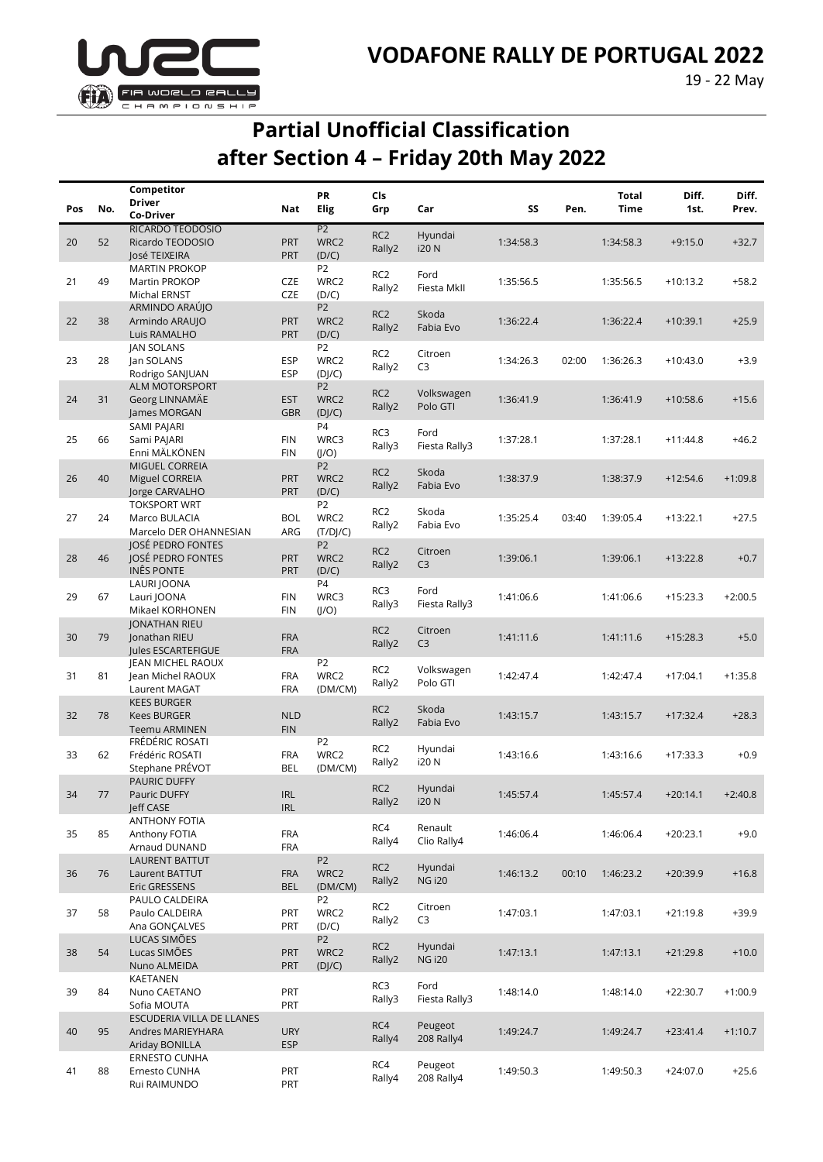

## **Partial Unofficial Classification after Section 4 – Friday 20th May 2022**

|     |     | Competitor                               |            | PR                     | Cls                       |                           |           |       | <b>Total</b> | Diff.      | Diff.     |
|-----|-----|------------------------------------------|------------|------------------------|---------------------------|---------------------------|-----------|-------|--------------|------------|-----------|
| Pos | No. | <b>Driver</b>                            | Nat        | Elig                   | Grp                       | Car                       | SS        | Pen.  | <b>Time</b>  | 1st.       | Prev.     |
|     |     | Co-Driver                                |            |                        |                           |                           |           |       |              |            |           |
| 20  | 52  | RICARDO TEODÓSIO<br>Ricardo TEODOSIO     | <b>PRT</b> | P <sub>2</sub><br>WRC2 | RC <sub>2</sub>           | Hyundai                   | 1:34:58.3 |       | 1:34:58.3    | $+9:15.0$  | $+32.7$   |
|     |     | José TEIXEIRA                            | <b>PRT</b> | (D/C)                  | Rally2                    | <b>i20N</b>               |           |       |              |            |           |
|     |     | <b>MARTIN PROKOP</b>                     |            | P <sub>2</sub>         |                           |                           |           |       |              |            |           |
| 21  | 49  | Martin PROKOP                            | <b>CZE</b> | WRC2                   | RC <sub>2</sub>           | Ford                      | 1:35:56.5 |       | 1:35:56.5    | $+10:13.2$ | $+58.2$   |
|     |     | Michal ERNST                             | <b>CZE</b> | (D/C)                  | Rally2                    | Fiesta MkII               |           |       |              |            |           |
|     |     | ARMINDO ARAÚJO                           |            | P <sub>2</sub>         |                           |                           |           |       |              |            |           |
| 22  | 38  | Armindo ARAUJO                           | PRT        | WRC2                   | RC <sub>2</sub>           | Skoda                     | 1:36:22.4 |       | 1:36:22.4    | $+10:39.1$ | $+25.9$   |
|     |     | Luis RAMALHO                             | <b>PRT</b> | (D/C)                  | Rally2                    | Fabia Evo                 |           |       |              |            |           |
|     |     | <b>JAN SOLANS</b>                        |            | P <sub>2</sub>         |                           |                           |           |       |              |            |           |
| 23  | 28  | Jan SOLANS                               | <b>ESP</b> | WRC2                   | RC <sub>2</sub><br>Rally2 | Citroen<br>C <sub>3</sub> | 1:34:26.3 | 02:00 | 1:36:26.3    | $+10:43.0$ | $+3.9$    |
|     |     | Rodrigo SANJUAN                          | <b>ESP</b> | (D]/C)                 |                           |                           |           |       |              |            |           |
|     |     | <b>ALM MOTORSPORT</b>                    |            | P <sub>2</sub>         | RC <sub>2</sub>           | Volkswagen                |           |       |              |            |           |
| 24  | 31  | Georg LINNAMÄE                           | <b>EST</b> | WRC2                   | Rally2                    | Polo GTI                  | 1:36:41.9 |       | 1:36:41.9    | $+10:58.6$ | $+15.6$   |
|     |     | James MORGAN                             | <b>GBR</b> | (D]/C)                 |                           |                           |           |       |              |            |           |
|     |     | SAMI PAJARI                              |            | P <sub>4</sub>         | RC3                       | Ford                      |           |       |              |            |           |
| 25  | 66  | Sami PAJARI                              | <b>FIN</b> | WRC3                   | Rally3                    | Fiesta Rally3             | 1:37:28.1 |       | 1:37:28.1    | $+11:44.8$ | $+46.2$   |
|     |     | Enni MÄLKÖNEN                            | <b>FIN</b> | $( /O\rangle)$         |                           |                           |           |       |              |            |           |
| 26  | 40  | <b>MIGUEL CORREIA</b><br>Miguel CORREIA  | <b>PRT</b> | P <sub>2</sub><br>WRC2 | RC <sub>2</sub>           | Skoda                     | 1:38:37.9 |       | 1:38:37.9    | $+12:54.6$ | $+1:09.8$ |
|     |     | Jorge CARVALHO                           | <b>PRT</b> | (D/C)                  | Rally2                    | Fabia Evo                 |           |       |              |            |           |
|     |     | <b>TOKSPORT WRT</b>                      |            | P <sub>2</sub>         |                           |                           |           |       |              |            |           |
| 27  | 24  | Marco BULACIA                            | <b>BOL</b> | WRC2                   | RC <sub>2</sub>           | Skoda                     | 1:35:25.4 | 03:40 | 1:39:05.4    | $+13:22.1$ | $+27.5$   |
|     |     | Marcelo DER OHANNESIAN                   | ARG        | (T/D]/C)               | Rally2                    | Fabia Evo                 |           |       |              |            |           |
|     |     | JOSÉ PEDRO FONTES                        |            | P <sub>2</sub>         |                           |                           |           |       |              |            |           |
| 28  | 46  | JOSÉ PEDRO FONTES                        | <b>PRT</b> | WRC2                   | RC <sub>2</sub>           | Citroen                   | 1:39:06.1 |       | 1:39:06.1    | $+13:22.8$ | $+0.7$    |
|     |     | <b>INÊS PONTE</b>                        | <b>PRT</b> | (D/C)                  | Rally2                    | C <sub>3</sub>            |           |       |              |            |           |
|     |     | LAURI JOONA                              |            | P4                     | RC3                       | Ford                      |           |       |              |            |           |
| 29  | 67  | Lauri JOONA                              | <b>FIN</b> | WRC3                   | Rally3                    | Fiesta Rally3             | 1:41:06.6 |       | 1:41:06.6    | $+15:23.3$ | $+2:00.5$ |
|     |     | Mikael KORHONEN                          | <b>FIN</b> | (J/O)                  |                           |                           |           |       |              |            |           |
|     |     | <b>JONATHAN RIEU</b>                     |            |                        | RC <sub>2</sub>           | Citroen                   |           |       |              |            |           |
| 30  | 79  | Jonathan RIEU                            | <b>FRA</b> |                        | Rally2                    | C <sub>3</sub>            | 1:41:11.6 |       | 1:41:11.6    | $+15:28.3$ | $+5.0$    |
|     |     | Jules ESCARTEFIGUE                       | <b>FRA</b> |                        |                           |                           |           |       |              |            |           |
|     |     | JEAN MICHEL RAOUX                        |            | P <sub>2</sub>         | RC <sub>2</sub>           | Volkswagen                |           |       |              |            |           |
| 31  | 81  | Jean Michel RAOUX                        | <b>FRA</b> | WRC2                   | Rally2                    | Polo GTI                  | 1:42:47.4 |       | 1:42:47.4    | $+17:04.1$ | $+1:35.8$ |
|     |     | Laurent MAGAT                            | <b>FRA</b> | (DM/CM)                |                           |                           |           |       |              |            |           |
| 32  | 78  | <b>KEES BURGER</b><br><b>Kees BURGER</b> | <b>NLD</b> |                        | RC <sub>2</sub>           | Skoda                     | 1:43:15.7 |       | 1:43:15.7    | $+17:32.4$ | $+28.3$   |
|     |     | <b>Teemu ARMINEN</b>                     | <b>FIN</b> |                        | Rally2                    | Fabia Evo                 |           |       |              |            |           |
|     |     | FRÉDÉRIC ROSATI                          |            | P <sub>2</sub>         |                           |                           |           |       |              |            |           |
| 33  | 62  | Frédéric ROSATI                          | <b>FRA</b> | WRC2                   | RC <sub>2</sub>           | Hyundai                   | 1:43:16.6 |       | 1:43:16.6    | $+17:33.3$ | $+0.9$    |
|     |     | Stephane PRÉVOT                          | <b>BEL</b> | (DM/CM)                | Rally2                    | i20 N                     |           |       |              |            |           |
|     |     | PAURIC DUFFY                             |            |                        |                           |                           |           |       |              |            |           |
| 34  | 77  | <b>Pauric DUFFY</b>                      | <b>IRL</b> |                        | RC <sub>2</sub>           | Hyundai                   | 1:45:57.4 |       | 1:45:57.4    | $+20:14.1$ | $+2:40.8$ |
|     |     | Jeff CASE                                | IRL        |                        | Rally2                    | <b>i20N</b>               |           |       |              |            |           |
|     |     | ANTHONY FOTIA                            |            |                        | RC4                       | Renault                   |           |       |              |            |           |
| 35  | 85  | Anthony FOTIA                            | <b>FRA</b> |                        | Rally4                    | Clio Rally4               | 1:46:06.4 |       | 1:46:06.4    | $+20:23.1$ | $+9.0$    |
|     |     | Arnaud DUNAND                            | FRA        |                        |                           |                           |           |       |              |            |           |
|     |     | <b>LAURENT BATTUT</b>                    |            | P <sub>2</sub>         | RC <sub>2</sub>           | Hyundai                   |           |       |              |            |           |
| 36  | 76  | Laurent BATTUT                           | <b>FRA</b> | WRC2                   | Rally2                    | <b>NG i20</b>             | 1:46:13.2 | 00:10 | 1:46:23.2    | $+20:39.9$ | $+16.8$   |
|     |     | Eric GRESSENS                            | <b>BEL</b> | (DM/CM)                |                           |                           |           |       |              |            |           |
|     |     | PAULO CALDEIRA                           |            | P <sub>2</sub>         | RC <sub>2</sub>           | Citroen                   |           |       |              |            |           |
| 37  | 58  | Paulo CALDEIRA<br>Ana GONÇALVES          | PRT<br>PRT | WRC2<br>(D/C)          | Rally2                    | C <sub>3</sub>            | 1:47:03.1 |       | 1:47:03.1    | $+21:19.8$ | $+39.9$   |
|     |     | LUCAS SIMÕES                             |            | P <sub>2</sub>         |                           |                           |           |       |              |            |           |
| 38  | 54  | Lucas SIMÕES                             | <b>PRT</b> | WRC2                   | RC <sub>2</sub>           | Hyundai                   | 1:47:13.1 |       | 1:47:13.1    | $+21:29.8$ | $+10.0$   |
|     |     | Nuno ALMEIDA                             | <b>PRT</b> | (D]/C)                 | Rally2                    | <b>NG i20</b>             |           |       |              |            |           |
|     |     | KAETANEN                                 |            |                        |                           |                           |           |       |              |            |           |
| 39  | 84  | Nuno CAETANO                             | PRT        |                        | RC3                       | Ford                      | 1:48:14.0 |       | 1:48:14.0    | $+22:30.7$ | $+1:00.9$ |
|     |     | Sofia MOUTA                              | PRT        |                        | Rally3                    | Fiesta Rally3             |           |       |              |            |           |
|     |     | ESCUDERIA VILLA DE LLANES                |            |                        |                           |                           |           |       |              |            |           |
| 40  | 95  | Andres MARIEYHARA                        | <b>URY</b> |                        | RC4                       | Peugeot                   | 1:49:24.7 |       | 1:49:24.7    | $+23:41.4$ | $+1:10.7$ |
|     |     | Ariday BONILLA                           | <b>ESP</b> |                        | Rally4                    | 208 Rally4                |           |       |              |            |           |
|     |     | <b>ERNESTO CUNHA</b>                     |            |                        | RC4                       | Peugeot                   |           |       |              |            |           |
| 41  | 88  | Ernesto CUNHA                            | PRT        |                        | Rally4                    | 208 Rally4                | 1:49:50.3 |       | 1:49:50.3    | $+24:07.0$ | $+25.6$   |
|     |     | Rui RAIMUNDO                             | PRT        |                        |                           |                           |           |       |              |            |           |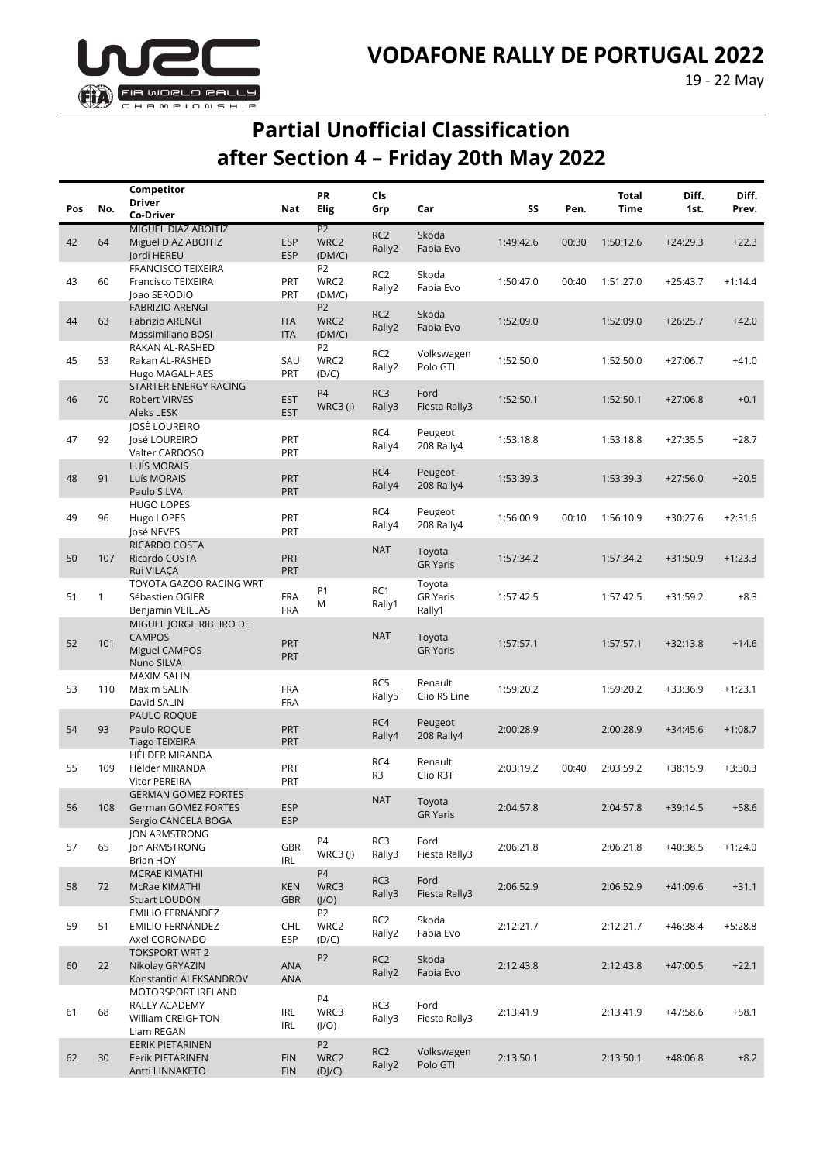

## **Partial Unofficial Classification after Section 4 – Friday 20th May 2022**

|     |              | Competitor                                                               |                          | <b>PR</b>                        | Cls                       |                                     |           |       | <b>Total</b> | Diff.      | Diff.     |
|-----|--------------|--------------------------------------------------------------------------|--------------------------|----------------------------------|---------------------------|-------------------------------------|-----------|-------|--------------|------------|-----------|
| Pos | No.          | <b>Driver</b>                                                            | Nat                      | Elig                             | Grp                       | Car                                 | SS        | Pen.  | Time         | 1st.       | Prev.     |
|     |              | Co-Driver<br>MIGUEL DIAZ ABOITIZ                                         |                          | P <sub>2</sub>                   |                           |                                     |           |       |              |            |           |
| 42  | 64           | Miguel DIAZ ABOITIZ<br>Jordi HEREU                                       | <b>ESP</b><br><b>ESP</b> | WRC2<br>(DM/C)                   | RC <sub>2</sub><br>Rally2 | Skoda<br>Fabia Evo                  | 1:49:42.6 | 00:30 | 1:50:12.6    | $+24:29.3$ | $+22.3$   |
| 43  | 60           | <b>FRANCISCO TEIXEIRA</b><br>Francisco TEIXEIRA<br>Joao SERODIO          | PRT<br>PRT               | P <sub>2</sub><br>WRC2<br>(DM/C) | RC <sub>2</sub><br>Rally2 | Skoda<br>Fabia Evo                  | 1:50:47.0 | 00:40 | 1:51:27.0    | $+25:43.7$ | $+1:14.4$ |
| 44  | 63           | <b>FABRIZIO ARENGI</b><br><b>Fabrizio ARENGI</b><br>Massimiliano BOSI    | <b>ITA</b><br><b>ITA</b> | <b>P2</b><br>WRC2<br>(DM/C)      | RC <sub>2</sub><br>Rally2 | Skoda<br>Fabia Evo                  | 1:52:09.0 |       | 1:52:09.0    | $+26:25.7$ | $+42.0$   |
| 45  | 53           | RAKAN AL-RASHED<br>Rakan AL-RASHED<br>Hugo MAGALHAES                     | SAU<br>PRT               | P <sub>2</sub><br>WRC2<br>(D/C)  | RC <sub>2</sub><br>Rally2 | Volkswagen<br>Polo GTI              | 1:52:50.0 |       | 1:52:50.0    | $+27:06.7$ | $+41.0$   |
| 46  | 70           | STARTER ENERGY RACING<br>Robert VIRVES<br>Aleks LESK                     | <b>EST</b><br><b>EST</b> | <b>P4</b><br>$WRC3$ (J)          | RC3<br>Rally3             | Ford<br>Fiesta Rally3               | 1:52:50.1 |       | 1:52:50.1    | $+27:06.8$ | $+0.1$    |
| 47  | 92           | JOSÉ LOUREIRO<br>José LOUREIRO<br>Valter CARDOSO                         | PRT<br>PRT               |                                  | RC4<br>Rally4             | Peugeot<br>208 Rally4               | 1:53:18.8 |       | 1:53:18.8    | $+27:35.5$ | $+28.7$   |
| 48  | 91           | LUÍS MORAIS<br>Luís MORAIS<br>Paulo SILVA                                | <b>PRT</b><br><b>PRT</b> |                                  | RC4<br>Rally4             | Peugeot<br>208 Rally4               | 1:53:39.3 |       | 1:53:39.3    | $+27:56.0$ | $+20.5$   |
| 49  | 96           | <b>HUGO LOPES</b><br>Hugo LOPES<br>José NEVES                            | PRT<br>PRT               |                                  | RC4<br>Rally4             | Peugeot<br>208 Rally4               | 1:56:00.9 | 00:10 | 1:56:10.9    | $+30:27.6$ | $+2:31.6$ |
| 50  | 107          | RICARDO COSTA<br>Ricardo COSTA<br>Rui VILAÇA                             | <b>PRT</b><br>PRT        |                                  | <b>NAT</b>                | Toyota<br><b>GR Yaris</b>           | 1:57:34.2 |       | 1:57:34.2    | $+31:50.9$ | $+1:23.3$ |
| 51  | $\mathbf{1}$ | TOYOTA GAZOO RACING WRT<br>Sébastien OGIER<br>Benjamin VEILLAS           | <b>FRA</b><br><b>FRA</b> | P <sub>1</sub><br>M              | RC1<br>Rally1             | Toyota<br><b>GR Yaris</b><br>Rally1 | 1:57:42.5 |       | 1:57:42.5    | $+31:59.2$ | $+8.3$    |
| 52  | 101          | MIGUEL JORGE RIBEIRO DE<br><b>CAMPOS</b><br>Miguel CAMPOS<br>Nuno SILVA  | PRT<br>PRT               |                                  | <b>NAT</b>                | Toyota<br><b>GR Yaris</b>           | 1:57:57.1 |       | 1:57:57.1    | $+32:13.8$ | $+14.6$   |
| 53  | 110          | <b>MAXIM SALIN</b><br>Maxim SALIN<br>David SALIN                         | <b>FRA</b><br><b>FRA</b> |                                  | RC5<br>Rally5             | Renault<br>Clio RS Line             | 1:59:20.2 |       | 1:59:20.2    | +33:36.9   | $+1:23.1$ |
| 54  | 93           | PAULO ROQUE<br>Paulo ROQUE<br><b>Tiago TEIXEIRA</b>                      | <b>PRT</b><br><b>PRT</b> |                                  | RC4<br>Rally4             | Peugeot<br>208 Rally4               | 2:00:28.9 |       | 2:00:28.9    | $+34:45.6$ | $+1:08.7$ |
| 55  | 109          | <b>HÉLDER MIRANDA</b><br>Helder MIRANDA<br><b>Vitor PEREIRA</b>          | PRT<br>PRT               |                                  | RC4<br>R <sub>3</sub>     | Renault<br>Clio R3T                 | 2:03:19.2 | 00:40 | 2:03:59.2    | $+38:15.9$ | $+3:30.3$ |
| 56  | 108          | <b>GERMAN GOMEZ FORTES</b><br>German GOMEZ FORTES<br>Sergio CANCELA BOGA | <b>ESP</b><br><b>ESP</b> |                                  | <b>NAT</b>                | Toyota<br><b>GR Yaris</b>           | 2:04:57.8 |       | 2:04:57.8    | $+39:14.5$ | $+58.6$   |
| 57  | 65           | JON ARMSTRONG<br>Jon ARMSTRONG<br><b>Brian HOY</b>                       | <b>GBR</b><br>IRL        | P4<br>$WRC3$ (J)                 | RC3<br>Rally3             | Ford<br>Fiesta Rally3               | 2:06:21.8 |       | 2:06:21.8    | $+40:38.5$ | $+1:24.0$ |
| 58  | 72           | MCRAE KIMATHI<br>McRae KIMATHI<br><b>Stuart LOUDON</b>                   | <b>KEN</b><br><b>GBR</b> | <b>P4</b><br>WRC3<br>(J/O)       | RC3<br>Rally3             | Ford<br>Fiesta Rally3               | 2:06:52.9 |       | 2:06:52.9    | $+41:09.6$ | $+31.1$   |
| 59  | 51           | EMILIO FERNÁNDEZ<br>EMILIO FERNÁNDEZ<br>Axel CORONADO                    | <b>CHL</b><br>ESP        | P <sub>2</sub><br>WRC2<br>(D/C)  | RC <sub>2</sub><br>Rally2 | Skoda<br>Fabia Evo                  | 2:12:21.7 |       | 2:12:21.7    | $+46:38.4$ | $+5:28.8$ |
| 60  | 22           | <b>TOKSPORT WRT 2</b><br>Nikolay GRYAZIN<br>Konstantin ALEKSANDROV       | ANA<br><b>ANA</b>        | P <sub>2</sub>                   | RC <sub>2</sub><br>Rally2 | Skoda<br>Fabia Evo                  | 2:12:43.8 |       | 2:12:43.8    | $+47:00.5$ | $+22.1$   |
| 61  | 68           | MOTORSPORT IRELAND<br>RALLY ACADEMY<br>William CREIGHTON<br>Liam REGAN   | IRL<br>IRL               | P4<br>WRC3<br>(J/O)              | RC3<br>Rally3             | Ford<br>Fiesta Rally3               | 2:13:41.9 |       | 2:13:41.9    | $+47:58.6$ | $+58.1$   |
| 62  | 30           | EERIK PIETARINEN<br>Eerik PIETARINEN<br>Antti LINNAKETO                  | <b>FIN</b><br><b>FIN</b> | P <sub>2</sub><br>WRC2<br>(D]/C) | RC <sub>2</sub><br>Rally2 | Volkswagen<br>Polo GTI              | 2:13:50.1 |       | 2:13:50.1    | $+48:06.8$ | $+8.2$    |